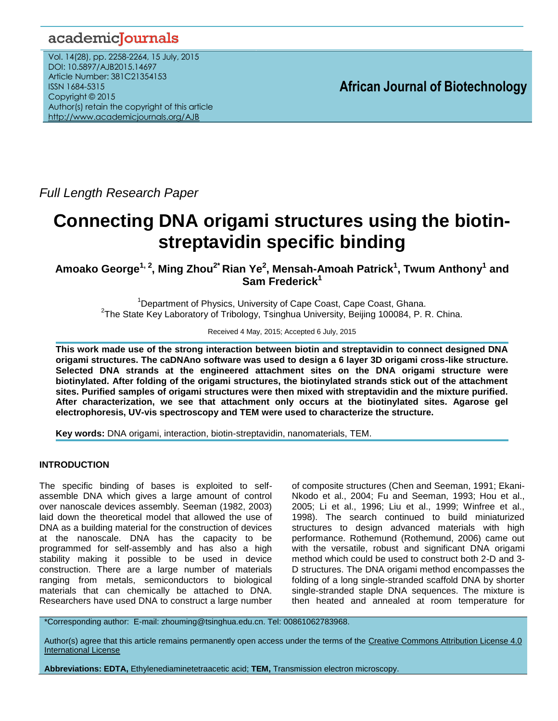# academicJournals

Vol. 14(28), pp. 2258-2264, 15 July, 2015 DOI: 10.5897/AJB2015.14697 Article Number: 381C21354153 ISSN 1684-5315 Copyright © 2015 Author(s) retain the copyright of this article <http://www.academicjournals.org/AJB>

**African Journal of Biotechnology**

*Full Length Research Paper*

# **Connecting DNA origami structures using the biotinstreptavidin specific binding**

**Amoako George1, 2, Ming Zhou2\* Rian Ye<sup>2</sup> , Mensah-Amoah Patrick<sup>1</sup> , Twum Anthony<sup>1</sup> and Sam Frederick<sup>1</sup>**

<sup>1</sup>Department of Physics, University of Cape Coast, Cape Coast, Ghana. <sup>2</sup>The State Key Laboratory of Tribology, Tsinghua University, Beijing 100084, P. R. China.

Received 4 May, 2015; Accepted 6 July, 2015

**This work made use of the strong interaction between biotin and streptavidin to connect designed DNA origami structures. The caDNAno software was used to design a 6 layer 3D origami cross-like structure. Selected DNA strands at the engineered attachment sites on the DNA origami structure were biotinylated. After folding of the origami structures, the biotinylated strands stick out of the attachment sites. Purified samples of origami structures were then mixed with streptavidin and the mixture purified. After characterization, we see that attachment only occurs at the biotinylated sites. Agarose gel electrophoresis, UV-vis spectroscopy and TEM were used to characterize the structure.** 

**Key words:** DNA origami, interaction, biotin-streptavidin, nanomaterials, TEM.

# **INTRODUCTION**

The specific binding of bases is exploited to selfassemble DNA which gives a large amount of control over nanoscale devices assembly. Seeman (1982, 2003) laid down the theoretical model that allowed the use of DNA as a building material for the construction of devices at the nanoscale. DNA has the capacity to be programmed for self-assembly and has also a high stability making it possible to be used in device construction. There are a large number of materials ranging from metals, semiconductors to biological materials that can chemically be attached to DNA. Researchers have used DNA to construct a large number

of composite structures (Chen and Seeman, 1991; Ekani-Nkodo et al., 2004; Fu and Seeman, 1993; Hou et al., 2005; Li et al., 1996; Liu et al., 1999; Winfree et al., 1998). The search continued to build miniaturized structures to design advanced materials with high performance. Rothemund (Rothemund, 2006) came out with the versatile, robust and significant DNA origami method which could be used to construct both 2-D and 3- D structures. The DNA origami method encompasses the folding of a long single-stranded scaffold DNA by shorter single-stranded staple DNA sequences. The mixture is then heated and annealed at room temperature for

\*Corresponding author: E-mail: zhouming@tsinghua.edu.cn. Tel: 00861062783968.

Author(s) agree that this article remains permanently open access under the terms of the Creative Commons Attribution License 4.0 [International License](http://creativecommons.org/licenses/by/4.0/deed.en_US)

**Abbreviations: EDTA,** Ethylenediaminetetraacetic acid; **TEM,** Transmission electron microscopy.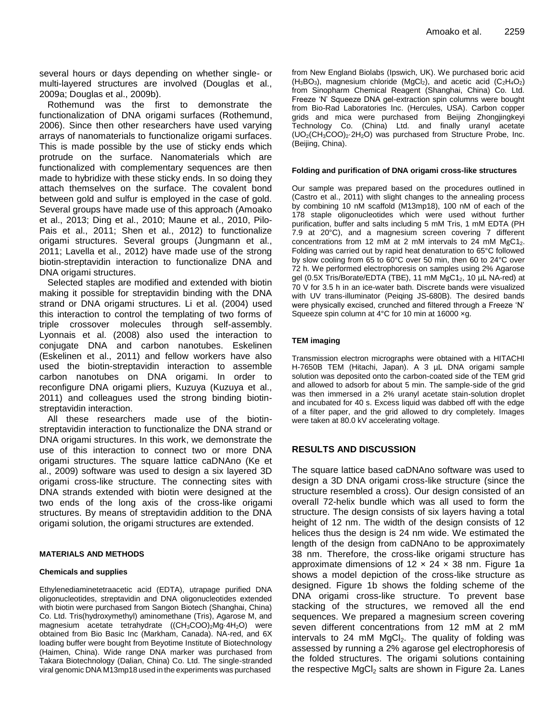several hours or days depending on whether single- or multi-layered structures are involved (Douglas et al., 2009a; Douglas et al., 2009b).

Rothemund was the first to demonstrate the functionalization of DNA origami surfaces (Rothemund, 2006). Since then other researchers have used varying arrays of nanomaterials to functionalize origami surfaces. This is made possible by the use of sticky ends which protrude on the surface. Nanomaterials which are functionalized with complementary sequences are then made to hybridize with these sticky ends. In so doing they attach themselves on the surface. The covalent bond between gold and sulfur is employed in the case of gold. Several groups have made use of this approach (Amoako et al., 2013; Ding et al., 2010; Maune et al., 2010, Pilo-Pais et al., 2011; Shen et al., 2012) to functionalize origami structures. Several groups (Jungmann et al., 2011; Lavella et al., 2012) have made use of the strong biotin-streptavidin interaction to functionalize DNA and DNA origami structures.

Selected staples are modified and extended with biotin making it possible for streptavidin binding with the DNA strand or DNA origami structures. Li et al. (2004) used this interaction to control the templating of two forms of triple crossover molecules through self-assembly. Lyonnais et al. (2008) also used the interaction to conjugate DNA and carbon nanotubes. Eskelinen (Eskelinen et al., 2011) and fellow workers have also used the biotin-streptavidin interaction to assemble carbon nanotubes on DNA origami. In order to reconfigure DNA origami pliers, Kuzuya (Kuzuya et al., 2011) and colleagues used the strong binding biotinstreptavidin interaction.

All these researchers made use of the biotinstreptavidin interaction to functionalize the DNA strand or DNA origami structures. In this work, we demonstrate the use of this interaction to connect two or more DNA origami structures. The square lattice caDNAno (Ke et al., 2009) software was used to design a six layered 3D origami cross-like structure. The connecting sites with DNA strands extended with biotin were designed at the two ends of the long axis of the cross-like origami structures. By means of streptavidin addition to the DNA origami solution, the origami structures are extended.

#### **MATERIALS AND METHODS**

#### **Chemicals and supplies**

Ethylenediaminetetraacetic acid (EDTA), utrapage purified DNA oligonucleotides, streptavidin and DNA oligonucleotides extended with biotin were purchased from Sangon Biotech (Shanghai, China) Co. Ltd. Tris(hydroxymethyl) aminomethane (Tris), Agarose M, and magnesium acetate tetrahydrate ((CH<sub>3</sub>COO)<sub>2</sub>Mg·4H<sub>2</sub>O) were obtained from Bio Basic Inc (Markham, Canada). NA-red, and 6X loading buffer were bought from Beyotime Institute of Biotechnology (Haimen, China). Wide range DNA marker was purchased from Takara Biotechnology (Dalian, China) Co. Ltd. The single-stranded viral genomic DNA M13mp18 used in the experiments was purchased

from New England Biolabs (Ipswich, UK). We purchased boric acid  $(H_3BO_3)$ , magnesium chloride  $(MgCl_2)$ , and acetic acid  $(C_2H_4O_2)$ from Sinopharm Chemical Reagent (Shanghai, China) Co. Ltd. Freeze 'N' Squeeze DNA gel-extraction spin columns were bought from Bio-Rad Laboratories Inc. (Hercules, USA). Carbon copper grids and mica were purchased from Beijing Zhongjingkeyi Technology Co. (China) Ltd. and finally uranyl acetate  $(UO<sub>2</sub>(CH<sub>3</sub>COO)<sub>2</sub>·2H<sub>2</sub>O)$  was purchased from Structure Probe, Inc. (Beijing, China).

#### **Folding and purification of DNA origami cross-like structures**

Our sample was prepared based on the procedures outlined in (Castro et al., 2011) with slight changes to the annealing process by combining 10 nM scaffold (M13mp18), 100 nM of each of the 178 staple oligonucleotides which were used without further purification, buffer and salts including 5 mM Tris, 1 mM EDTA (PH 7.9 at 20°C), and a magnesium screen covering 7 different concentrations from 12 mM at 2 mM intervals to 24 mM  $MgC1<sub>2</sub>$ . Folding was carried out by rapid heat denaturation to 65°C followed by slow cooling from 65 to 60°C over 50 min, then 60 to 24°C over 72 h. We performed electrophoresis on samples using 2% Agarose gel (0.5X Tris/Borate/EDTA (TBE), 11 mM  $MgC1<sub>2</sub>$ , 10 µL NA-red) at 70 V for 3.5 h in an ice-water bath. Discrete bands were visualized with UV trans-illuminator (Peiqing JS-680B). The desired bands were physically excised, crunched and filtered through a Freeze 'N' Squeeze spin column at 4°C for 10 min at 16000 ×g.

#### **TEM imaging**

Transmission electron micrographs were obtained with a HITACHI H-7650B TEM (Hitachi, Japan). A 3 µL DNA origami sample solution was deposited onto the carbon-coated side of the TEM grid and allowed to adsorb for about 5 min. The sample-side of the grid was then immersed in a 2% uranyl acetate stain-solution droplet and incubated for 40 s. Excess liquid was dabbed off with the edge of a filter paper, and the grid allowed to dry completely. Images were taken at 80.0 kV accelerating voltage.

#### **RESULTS AND DISCUSSION**

The square lattice based caDNAno software was used to design a 3D DNA origami cross-like structure (since the structure resembled a cross). Our design consisted of an overall 72-helix bundle which was all used to form the structure. The design consists of six layers having a total height of 12 nm. The width of the design consists of 12 helices thus the design is 24 nm wide. We estimated the length of the design from caDNAno to be approximately 38 nm. Therefore, the cross-like origami structure has approximate dimensions of  $12 \times 24 \times 38$  nm. Figure 1a shows a model depiction of the cross-like structure as designed. Figure 1b shows the folding scheme of the DNA origami cross-like structure. To prevent base stacking of the structures, we removed all the end sequences. We prepared a magnesium screen covering seven different concentrations from 12 mM at 2 mM intervals to 24 mM  $MgCl<sub>2</sub>$ . The quality of folding was assessed by running a 2% agarose gel electrophoresis of the folded structures. The origami solutions containing the respective  $MgCl<sub>2</sub>$  salts are shown in Figure 2a. Lanes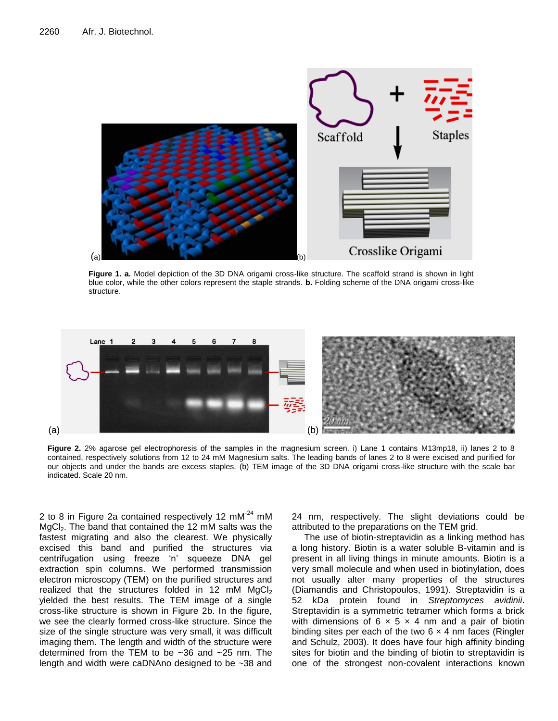

**Figure 1. a.** Model depiction of the 3D DNA origami cross-like structure. The scaffold strand is shown in light blue color, while the other colors represent the staple strands. **b.** Folding scheme of the DNA origami cross-like structure.



**Figure 2.** 2% agarose gel electrophoresis of the samples in the magnesium screen. i) Lane 1 contains M13mp18, ii) lanes 2 to 8 contained, respectively solutions from 12 to 24 mM Magnesium salts. The leading bands of lanes 2 to 8 were excised and purified for our objects and under the bands are excess staples. (b) TEM image of the 3D DNA origami cross-like structure with the scale bar indicated. Scale 20 nm.

2 to 8 in Figure 2a contained respectively 12  $mM<sup>-24</sup>$  mM MgCl<sub>2</sub>. The band that contained the 12 mM salts was the fastest migrating and also the clearest. We physically excised this band and purified the structures via centrifugation using freeze 'n' squeeze DNA gel extraction spin columns. We performed transmission electron microscopy (TEM) on the purified structures and realized that the structures folded in 12 mM  $MgCl<sub>2</sub>$ yielded the best results. The TEM image of a single cross-like structure is shown in Figure 2b. In the figure, we see the clearly formed cross-like structure. Since the size of the single structure was very small, it was difficult imaging them. The length and width of the structure were determined from the TEM to be ~36 and ~25 nm. The length and width were caDNAno designed to be ~38 and

24 nm, respectively. The slight deviations could be attributed to the preparations on the TEM grid.

The use of biotin-streptavidin as a linking method has a long history. Biotin is a water soluble B-vitamin and is present in all living things in minute amounts. Biotin is a very small molecule and when used in biotinylation, does not usually alter many properties of the structures (Diamandis and Christopoulos, 1991). Streptavidin is a 52 kDa protein found in *Streptomyces avidinii*. Streptavidin is a symmetric tetramer which forms a brick with dimensions of 6  $\times$  5  $\times$  4 nm and a pair of biotin binding sites per each of the two  $6 \times 4$  nm faces (Ringler and Schulz, 2003). It does have four high affinity binding sites for biotin and the binding of biotin to streptavidin is one of the strongest non-covalent interactions known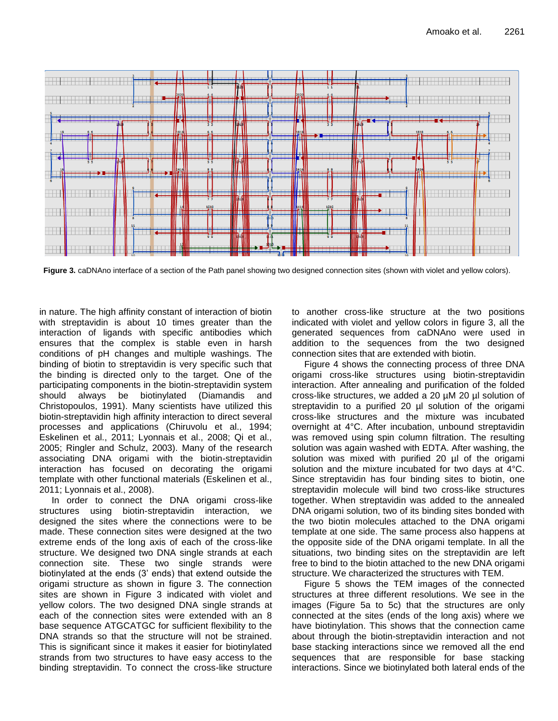

**Figure 3.** caDNAno interface of a section of the Path panel showing two designed connection sites (shown with violet and yellow colors).

in nature. The high affinity constant of interaction of biotin with streptavidin is about 10 times greater than the interaction of ligands with specific antibodies which ensures that the complex is stable even in harsh conditions of pH changes and multiple washings. The binding of biotin to streptavidin is very specific such that the binding is directed only to the target. One of the participating components in the biotin-streptavidin system should always be biotinylated (Diamandis and Christopoulos, 1991). Many scientists have utilized this biotin-streptavidin high affinity interaction to direct several processes and applications (Chiruvolu et al., 1994; Eskelinen et al., 2011; Lyonnais et al., 2008; Qi et al., 2005; Ringler and Schulz, 2003). Many of the research associating DNA origami with the biotin-streptavidin interaction has focused on decorating the origami template with other functional materials (Eskelinen et al., 2011; Lyonnais et al., 2008).

In order to connect the DNA origami cross-like structures using biotin-streptavidin interaction, we designed the sites where the connections were to be made. These connection sites were designed at the two extreme ends of the long axis of each of the cross-like structure. We designed two DNA single strands at each connection site. These two single strands were biotinylated at the ends (3' ends) that extend outside the origami structure as shown in figure 3. The connection sites are shown in Figure 3 indicated with violet and yellow colors. The two designed DNA single strands at each of the connection sites were extended with an 8 base sequence ATGCATGC for sufficient flexibility to the DNA strands so that the structure will not be strained. This is significant since it makes it easier for biotinylated strands from two structures to have easy access to the binding streptavidin. To connect the cross-like structure

to another cross-like structure at the two positions indicated with violet and yellow colors in figure 3, all the generated sequences from caDNAno were used in addition to the sequences from the two designed connection sites that are extended with biotin.

Figure 4 shows the connecting process of three DNA origami cross-like structures using biotin-streptavidin interaction. After annealing and purification of the folded cross-like structures, we added a 20 µM 20 µl solution of streptavidin to a purified 20 µl solution of the origami cross-like structures and the mixture was incubated overnight at 4°C. After incubation, unbound streptavidin was removed using spin column filtration. The resulting solution was again washed with EDTA. After washing, the solution was mixed with purified 20 µl of the origami solution and the mixture incubated for two days at 4°C. Since streptavidin has four binding sites to biotin, one streptavidin molecule will bind two cross-like structures together. When streptavidin was added to the annealed DNA origami solution, two of its binding sites bonded with the two biotin molecules attached to the DNA origami template at one side. The same process also happens at the opposite side of the DNA origami template. In all the situations, two binding sites on the streptavidin are left free to bind to the biotin attached to the new DNA origami structure. We characterized the structures with TEM.

Figure 5 shows the TEM images of the connected structures at three different resolutions. We see in the images (Figure 5a to 5c) that the structures are only connected at the sites (ends of the long axis) where we have biotinylation. This shows that the connection came about through the biotin-streptavidin interaction and not base stacking interactions since we removed all the end sequences that are responsible for base stacking interactions. Since we biotinylated both lateral ends of the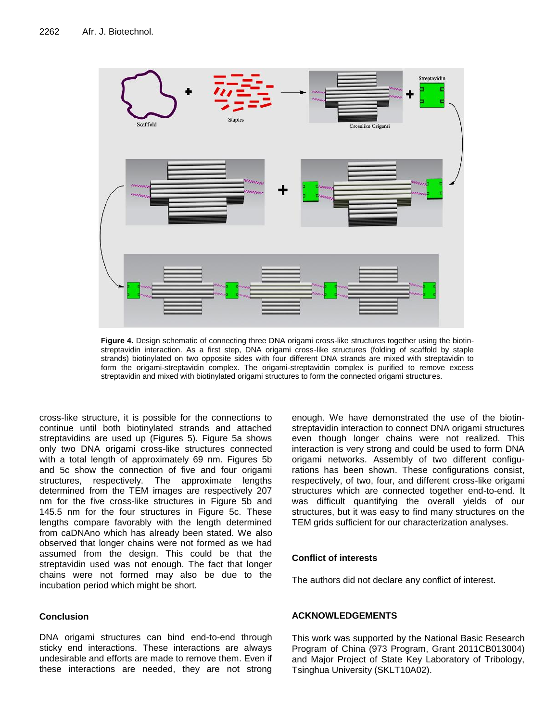

**Figure 4.** Design schematic of connecting three DNA origami cross-like structures together using the biotinstreptavidin interaction. As a first step, DNA origami cross-like structures (folding of scaffold by staple strands) biotinylated on two opposite sides with four different DNA strands are mixed with streptavidin to form the origami-streptavidin complex. The origami-streptavidin complex is purified to remove excess streptavidin and mixed with biotinylated origami structures to form the connected origami structures.

cross-like structure, it is possible for the connections to continue until both biotinylated strands and attached streptavidins are used up (Figures 5). Figure 5a shows only two DNA origami cross-like structures connected with a total length of approximately 69 nm. Figures 5b and 5c show the connection of five and four origami structures, respectively. The approximate lengths determined from the TEM images are respectively 207 nm for the five cross-like structures in Figure 5b and 145.5 nm for the four structures in Figure 5c. These lengths compare favorably with the length determined from caDNAno which has already been stated. We also observed that longer chains were not formed as we had assumed from the design. This could be that the streptavidin used was not enough. The fact that longer chains were not formed may also be due to the incubation period which might be short.

# **Conclusion**

DNA origami structures can bind end-to-end through sticky end interactions. These interactions are always undesirable and efforts are made to remove them. Even if these interactions are needed, they are not strong enough. We have demonstrated the use of the biotinstreptavidin interaction to connect DNA origami structures even though longer chains were not realized. This interaction is very strong and could be used to form DNA origami networks. Assembly of two different configurations has been shown. These configurations consist, respectively, of two, four, and different cross-like origami structures which are connected together end-to-end. It was difficult quantifying the overall yields of our structures, but it was easy to find many structures on the TEM grids sufficient for our characterization analyses.

# **Conflict of interests**

The authors did not declare any conflict of interest.

# **ACKNOWLEDGEMENTS**

This work was supported by the National Basic Research Program of China (973 Program, Grant 2011CB013004) and Major Project of State Key Laboratory of Tribology, Tsinghua University (SKLT10A02).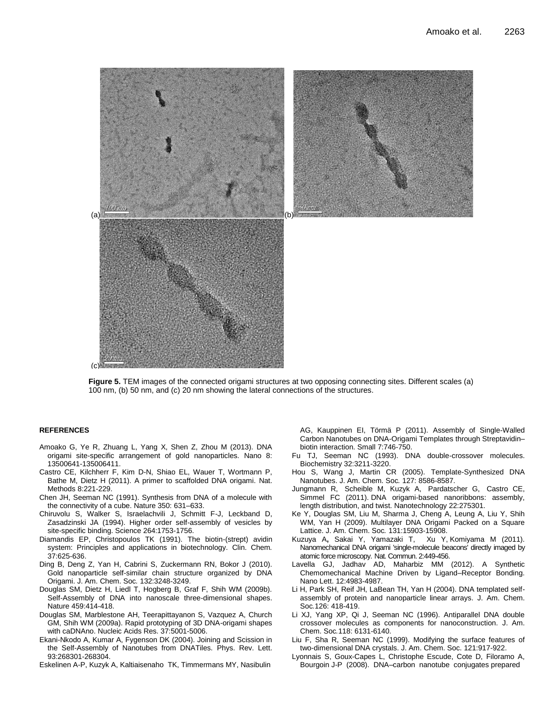

**Figure 5.** TEM images of the connected origami structures at two opposing connecting sites. Different scales (a) 100 nm, (b) 50 nm, and (c) 20 nm showing the lateral connections of the structures.

#### **REFERENCES**

- Amoako G, Ye R, Zhuang L, Yang X, Shen Z, Zhou M (2013). DNA origami site-specific arrangement of gold nanoparticles. Nano 8: 13500641-135006411.
- Castro CE, Kilchherr F, Kim D-N, Shiao EL, Wauer T, Wortmann P, Bathe M, Dietz H (2011). A primer to scaffolded DNA origami. Nat. Methods 8:221-229.
- Chen JH, Seeman NC (1991). Synthesis from DNA of a molecule with the connectivity of a cube. Nature 350: 631–633.
- Chiruvolu S, Walker S, Israelachvili J, Schmitt F-J, Leckband D, Zasadzinski JA (1994). Higher order self-assembly of vesicles by site-specific binding. Science 264:1753-1756.
- Diamandis EP, Christopoulos TK (1991). The biotin-(strept) avidin system: Principles and applications in biotechnology. Clin. Chem*.* 37:625-636.
- Ding B, Deng Z, Yan H, Cabrini S, Zuckermann RN, Bokor J (2010). Gold nanoparticle self-similar chain structure organized by DNA Origami. J. Am. Chem. Soc*.* 132:3248-3249.
- Douglas SM, Dietz H, Liedl T, Hogberg B, Graf F, Shih WM (2009b). Self-Assembly of DNA into nanoscale three-dimensional shapes. Nature 459:414-418.
- Douglas SM, Marblestone AH, Teerapittayanon S, Vazquez A, Church GM, Shih WM (2009a). Rapid prototyping of 3D DNA-origami shapes with caDNAno. Nucleic Acids Res. 37:5001-5006.
- Ekani-Nkodo A, Kumar A, Fygenson DK (2004). Joining and Scission in the Self-Assembly of Nanotubes from DNATiles. Phys. Rev. Lett. 93:268301-268304.
- Eskelinen A-P, Kuzyk A, Kaltiaisenaho TK, Timmermans MY, Nasibulin

AG, Kauppinen EI, Törmä P (2011). Assembly of Single-Walled Carbon Nanotubes on DNA-Origami Templates through Streptavidin– biotin interaction. Small 7:746-750.

- Fu TJ, Seeman NC (1993). DNA double-crossover molecules. Biochemistry 32:3211-3220.
- Hou S, Wang J, Martin CR (2005). Template-Synthesized DNA Nanotubes. J. Am. Chem. Soc*.* 127: 8586-8587.
- Jungmann R, Scheible M, Kuzyk A, Pardatscher G, Castro CE, Simmel FC (2011). DNA origami-based nanoribbons: assembly, length distribution, and twist. Nanotechnology 22:275301.
- Ke Y, Douglas SM, Liu M, Sharma J, Cheng A, Leung A, Liu Y, Shih WM, Yan H (2009). Multilayer DNA Origami Packed on a Square Lattice. J. Am. Chem. Soc*.* 131:15903-15908.
- Kuzuya A**,** Sakai Y, Yamazaki T, [Xu](http://www.nature.com/ncomms/journal/v2/n8/abs/ncomms1452.html) Y, Komiyama M (2011). Nanomechanical DNA origami 'single-molecule beacons' directly imaged by atomic force microscopy. Nat. Commun. 2:449-456.
- Lavella GJ, Jadhav AD, Maharbiz MM (2012). A Synthetic Chemomechanical Machine Driven by Ligand–Receptor Bonding. Nano Lett. 12:4983-4987.
- Li H, Park SH, Reif JH, LaBean TH, Yan H (2004). DNA templated selfassembly of protein and nanoparticle linear arrays. J. Am. Chem. Soc*.*126: 418-419.
- Li XJ, Yang XP, Qi J, Seeman NC (1996). Antiparallel DNA double crossover molecules as components for nanoconstruction. J. Am. Chem. Soc*.*118: 6131-6140.
- Liu F, Sha R, Seeman NC (1999). Modifying the surface features of two-dimensional DNA crystals. J. Am. Chem. Soc. 121:917-922.
- Lyonnais S, Goux-Capes L, Christophe Escude, Cote D, Filoramo A, Bourgoin J-P (2008). DNA–carbon nanotube conjugates prepared